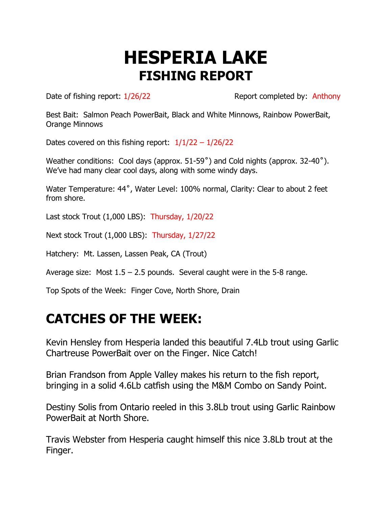## **HESPERIA LAKE FISHING REPORT**

Date of fishing report:  $1/26/22$  Report completed by: Anthony

Best Bait: Salmon Peach PowerBait, Black and White Minnows, Rainbow PowerBait, Orange Minnows

Dates covered on this fishing report:  $1/1/22 - 1/26/22$ 

Weather conditions: Cool days (approx. 51-59˚) and Cold nights (approx. 32-40˚). We've had many clear cool days, along with some windy days.

Water Temperature: 44˚, Water Level: 100% normal, Clarity: Clear to about 2 feet from shore.

Last stock Trout (1,000 LBS): Thursday, 1/20/22

Next stock Trout (1,000 LBS): Thursday, 1/27/22

Hatchery: Mt. Lassen, Lassen Peak, CA (Trout)

Average size: Most  $1.5 - 2.5$  pounds. Several caught were in the 5-8 range.

Top Spots of the Week: Finger Cove, North Shore, Drain

## **CATCHES OF THE WEEK:**

Kevin Hensley from Hesperia landed this beautiful 7.4Lb trout using Garlic Chartreuse PowerBait over on the Finger. Nice Catch!

Brian Frandson from Apple Valley makes his return to the fish report, bringing in a solid 4.6Lb catfish using the M&M Combo on Sandy Point.

Destiny Solis from Ontario reeled in this 3.8Lb trout using Garlic Rainbow PowerBait at North Shore.

Travis Webster from Hesperia caught himself this nice 3.8Lb trout at the Finger.